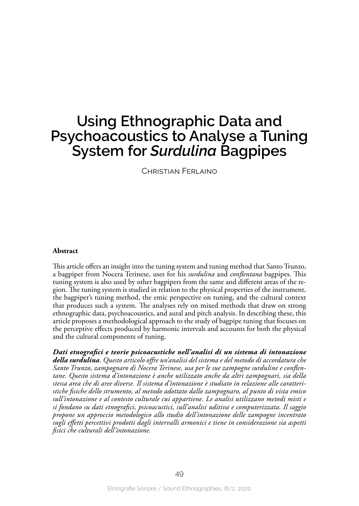# **Using Ethnographic Data and Psychoacoustics to Analyse a Tuning System for** *Surdulina* **Bagpipes**

Christian Ferlaino

# **Abstract**

This article offers an insight into the tuning system and tuning method that Santo Trunzo, a bagpiper from Nocera Terinese, uses for his *surdulina* and *conflentana* bagpipes. This tuning system is also used by other bagpipers from the same and different areas of the region. The tuning system is studied in relation to the physical properties of the instrument, the bagpiper's tuning method, the emic perspective on tuning, and the cultural context that produces such a system. The analyses rely on mixed methods that draw on strong ethnographic data, psychoacoustics, and aural and pitch analysis. In describing these, this article proposes a methodological approach to the study of bagpipe tuning that focuses on the perceptive effects produced by harmonic intervals and accounts for both the physical and the cultural components of tuning.

*Dati etnografici e teorie psicoacustiche nell'analisi di un sistema di intonazione della surdulina*. *Questo articolo offre un'analisi del sistema e del metodo di accordatura che Santo Trunzo, zampognaro di Nocera Terinese, usa per le sue zampogne surduline e conflentane. Questo sistema d'intonazione è anche utilizzato anche da altri zampognari, sia della stessa area che di aree diverse. Il sistema d'intonazione è studiato in relazione alle caratteristiche fisiche dello strumento, al metodo adottato dallo zampognaro, al punto di vista emico sull'intonazione e al contesto culturale cui appartiene. Le analisi utilizzano metodi misti e si fondano su dati etnografici, psicoacustici, sull'analisi uditiva e computerizzata. Il saggio propone un approccio metodologico allo studio dell'intonazione delle zampogne incentrato sugli effetti percettivi prodotti dagli intervalli armonici e tiene in considerazione sia aspetti fisici che culturali dell'intonazione.*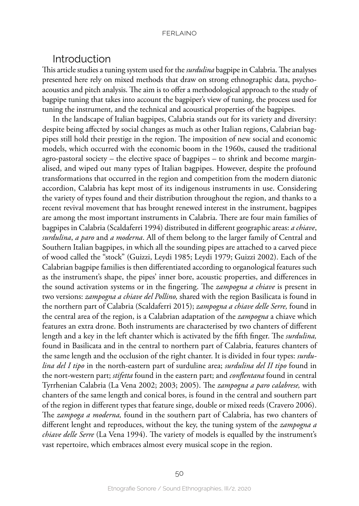# Introduction

This article studies a tuning system used for the *surdulina* bagpipe in Calabria. The analyses presented here rely on mixed methods that draw on strong ethnographic data, psychoacoustics and pitch analysis. The aim is to offer a methodological approach to the study of bagpipe tuning that takes into account the bagpiper's view of tuning, the process used for tuning the instrument, and the technical and acoustical properties of the bagpipes.

In the landscape of Italian bagpipes, Calabria stands out for its variety and diversity: despite being affected by social changes as much as other Italian regions, Calabrian bagpipes still hold their prestige in the region. The imposition of new social and economic models, which occurred with the economic boom in the 1960s, caused the traditional agro-pastoral society – the elective space of bagpipes – to shrink and become marginalised, and wiped out many types of Italian bagpipes. However, despite the profound transformations that occurred in the region and competition from the modern diatonic accordion, Calabria has kept most of its indigenous instruments in use. Considering the variety of types found and their distribution throughout the region, and thanks to a recent revival movement that has brought renewed interest in the instrument, bagpipes are among the most important instruments in Calabria. There are four main families of bagpipes in Calabria (Scaldaferri 1994) distributed in different geographic areas: *a chiave*, *surdulina*, *a paro* and *a moderna*. All of them belong to the larger family of Central and Southern Italian bagpipes, in which all the sounding pipes are attached to a carved piece of wood called the "stock" (Guizzi, Leydi 1985; Leydi 1979; Guizzi 2002). Each of the Calabrian bagpipe families is then differentiated according to organological features such as the instrument's shape, the pipes' inner bore, acoustic properties, and differences in the sound activation systems or in the fingering. The *zampogna a chiave* is present in two versions: *zampogna a chiave del Pollino,* shared with the region Basilicata is found in the northern part of Calabria (Scaldaferri 2015); *zampogna a chiave delle Serre,* found in the central area of the region, is a Calabrian adaptation of the *zampogna* a chiave which features an extra drone. Both instruments are characterised by two chanters of different length and a key in the left chanter which is activated by the fifth finger. The *surdulina,* found in Basilicata and in the central to northern part of Calabria, features chanters of the same length and the occlusion of the right chanter. It is divided in four types: *surdulina del I tipo* in the north-eastern part of surduline area; *surdulina del II tipo* found in the nort-western part; *stifetta* found in the eastern part; and *conflentana* found in central Tyrrhenian Calabria (La Vena 2002; 2003; 2005). The *zampogna a paro calabrese,* with chanters of the same length and conical bores, is found in the central and southern part of the region in different types that feature singe, double or mixed reeds (Cravero 2006). The *zampoga a moderna,* found in the southern part of Calabria, has two chanters of different lenght and reproduces, without the key, the tuning system of the *zampogna a chiave delle Serre* (La Vena 1994). The variety of models is equalled by the instrument's vast repertoire, which embraces almost every musical scope in the region.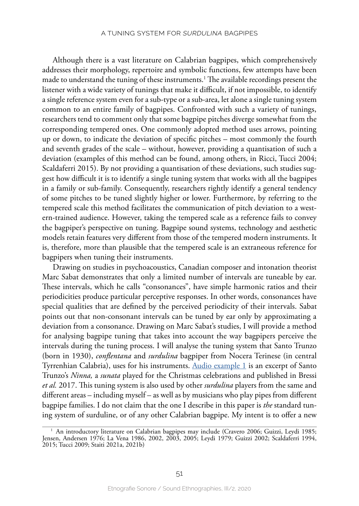Although there is a vast literature on Calabrian bagpipes, which comprehensively addresses their morphology, repertoire and symbolic functions, few attempts have been made to understand the tuning of these instruments.1 The available recordings present the listener with a wide variety of tunings that make it difficult, if not impossible, to identify a single reference system even for a sub-type or a sub-area, let alone a single tuning system common to an entire family of bagpipes. Confronted with such a variety of tunings, researchers tend to comment only that some bagpipe pitches diverge somewhat from the corresponding tempered ones. One commonly adopted method uses arrows, pointing up or down, to indicate the deviation of specific pitches – most commonly the fourth and seventh grades of the scale – without, however, providing a quantisation of such a deviation (examples of this method can be found, among others, in Ricci, Tucci 2004; Scaldaferri 2015). By not providing a quantisation of these deviations, such studies suggest how difficult it is to identify a single tuning system that works with all the bagpipes in a family or sub-family. Consequently, researchers rightly identify a general tendency of some pitches to be tuned slightly higher or lower. Furthermore, by referring to the tempered scale this method facilitates the communication of pitch deviation to a western-trained audience. However, taking the tempered scale as a reference fails to convey the bagpiper's perspective on tuning. Bagpipe sound systems, technology and aesthetic models retain features very different from those of the tempered modern instruments. It is, therefore, more than plausible that the tempered scale is an extraneous reference for bagpipers when tuning their instruments.

Drawing on studies in psychoacoustics, Canadian composer and intonation theorist Marc Sabat demonstrates that only a limited number of intervals are tuneable by ear. These intervals, which he calls "consonances", have simple harmonic ratios and their periodicities produce particular perceptive responses. In other words, consonances have special qualities that are defined by the perceived periodicity of their intervals. Sabat points out that non-consonant intervals can be tuned by ear only by approximating a deviation from a consonance. Drawing on Marc Sabat's studies, I will provide a method for analysing bagpipe tuning that takes into account the way bagpipers perceive the intervals during the tuning process. I will analyse the tuning system that Santo Trunzo (born in 1930), *conflentana* and *surdulina* bagpiper from Nocera Terinese (in central Tyrrenhian Calabria), uses for his instruments. [Audio example 1](https://player.vimeo.com/video/668654368?h=9d3a337f22) is an excerpt of Santo Trunzo's *Ninna,* a *sunata* played for the Christmas celebrations and published in Bressi *et al.* 2017. This tuning system is also used by other *surdulina* players from the same and different areas – including myself – as well as by musicians who play pipes from different bagpipe families. I do not claim that the one I describe in this paper is *the* standard tuning system of surduline, or of any other Calabrian bagpipe. My intent is to offer a new

<sup>&</sup>lt;sup>1</sup> An introductory literature on Calabrian bagpipes may include (Cravero 2006; Guizzi, Leydi 1985; Jensen, Andersen 1976; La Vena 1986, 2002, 2003, 2005; Leydi 1979; Guizzi 2002; Scaldaferri 1994, 2015; Tucci 2009; Staiti 2021a, 2021b)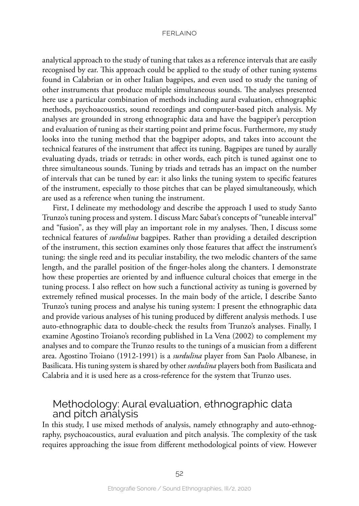analytical approach to the study of tuning that takes as a reference intervals that are easily recognised by ear. This approach could be applied to the study of other tuning systems found in Calabrian or in other Italian bagpipes, and even used to study the tuning of other instruments that produce multiple simultaneous sounds. The analyses presented here use a particular combination of methods including aural evaluation, ethnographic methods, psychoacoustics, sound recordings and computer-based pitch analysis. My analyses are grounded in strong ethnographic data and have the bagpiper's perception and evaluation of tuning as their starting point and prime focus. Furthermore, my study looks into the tuning method that the bagpiper adopts, and takes into account the technical features of the instrument that affect its tuning. Bagpipes are tuned by aurally evaluating dyads, triads or tetrads: in other words, each pitch is tuned against one to three simultaneous sounds. Tuning by triads and tetrads has an impact on the number of intervals that can be tuned by ear: it also links the tuning system to specific features of the instrument, especially to those pitches that can be played simultaneously, which are used as a reference when tuning the instrument.

First, I delineate my methodology and describe the approach I used to study Santo Trunzo's tuning process and system. I discuss Marc Sabat's concepts of "tuneable interval" and "fusion", as they will play an important role in my analyses. Then, I discuss some technical features of *surdulina* bagpipes. Rather than providing a detailed description of the instrument, this section examines only those features that affect the instrument's tuning: the single reed and its peculiar instability, the two melodic chanters of the same length, and the parallel position of the finger-holes along the chanters. I demonstrate how these properties are oriented by and influence cultural choices that emerge in the tuning process. I also reflect on how such a functional activity as tuning is governed by extremely refined musical processes. In the main body of the article, I describe Santo Trunzo's tuning process and analyse his tuning system: I present the ethnographic data and provide various analyses of his tuning produced by different analysis methods. I use auto-ethnographic data to double-check the results from Trunzo's analyses. Finally, I examine Agostino Troiano's recording published in La Vena (2002) to complement my analyses and to compare the Trunzo results to the tunings of a musician from a different area. Agostino Troiano (1912-1991) is a *surdulina* player from San Paolo Albanese, in Basilicata. His tuning system is shared by other *surdulina* players both from Basilicata and Calabria and it is used here as a cross-reference for the system that Trunzo uses.

# Methodology: Aural evaluation, ethnographic data and pitch analysis

In this study, I use mixed methods of analysis, namely ethnography and auto-ethnography, psychoacoustics, aural evaluation and pitch analysis. The complexity of the task requires approaching the issue from different methodological points of view. However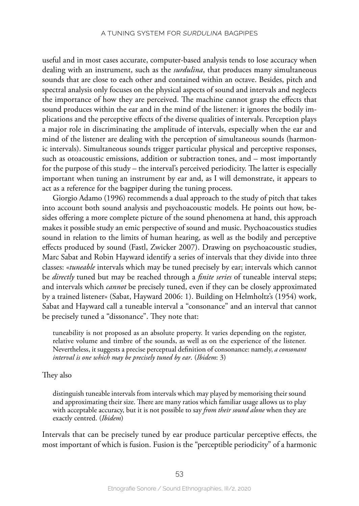useful and in most cases accurate, computer-based analysis tends to lose accuracy when dealing with an instrument, such as the *surdulina*, that produces many simultaneous sounds that are close to each other and contained within an octave. Besides, pitch and spectral analysis only focuses on the physical aspects of sound and intervals and neglects the importance of how they are perceived. The machine cannot grasp the effects that sound produces within the ear and in the mind of the listener: it ignores the bodily implications and the perceptive effects of the diverse qualities of intervals. Perception plays a major role in discriminating the amplitude of intervals, especially when the ear and mind of the listener are dealing with the perception of simultaneous sounds (harmonic intervals). Simultaneous sounds trigger particular physical and perceptive responses, such as otoacoustic emissions, addition or subtraction tones, and – most importantly for the purpose of this study – the interval's perceived periodicity. The latter is especially important when tuning an instrument by ear and, as I will demonstrate, it appears to act as a reference for the bagpiper during the tuning process.

Giorgio Adamo (1996) recommends a dual approach to the study of pitch that takes into account both sound analysis and psychoacoustic models. He points out how, besides offering a more complete picture of the sound phenomena at hand, this approach makes it possible study an emic perspective of sound and music. Psychoacoustics studies sound in relation to the limits of human hearing, as well as the bodily and perceptive effects produced by sound (Fastl, Zwicker 2007). Drawing on psychoacoustic studies, Marc Sabat and Robin Hayward identify a series of intervals that they divide into three classes: «*tuneable* intervals which may be tuned precisely by ear; intervals which cannot be *directly* tuned but may be reached through a *finite series* of tuneable interval steps; and intervals which *cannot* be precisely tuned, even if they can be closely approximated by a trained listener» (Sabat, Hayward 2006: 1). Building on Helmholtz's (1954) work, Sabat and Hayward call a tuneable interval a "consonance" and an interval that cannot be precisely tuned a "dissonance". They note that:

tuneability is not proposed as an absolute property. It varies depending on the register, relative volume and timbre of the sounds, as well as on the experience of the listener. Nevertheless, it suggests a precise perceptual definition of consonance: namely, *a consonant interval is one which may be precisely tuned by ear*. (*Ibidem*: 3)

They also

distinguish tuneable intervals from intervals which may played by memorising their sound and approximating their size. There are many ratios which familiar usage allows us to play with acceptable accuracy, but it is not possible to say *from their sound alone* when they are exactly centred. (*Ibidem*)

Intervals that can be precisely tuned by ear produce particular perceptive effects, the most important of which is fusion. Fusion is the "perceptible periodicity" of a harmonic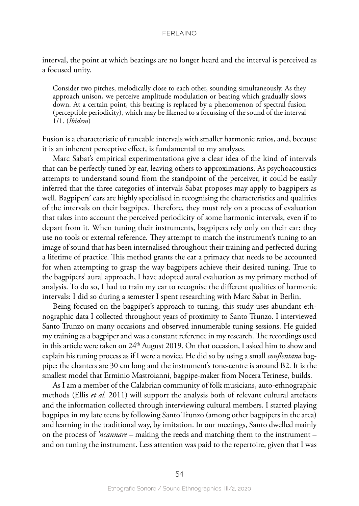interval, the point at which beatings are no longer heard and the interval is perceived as a focused unity.

Consider two pitches, melodically close to each other, sounding simultaneously. As they approach unison, we perceive amplitude modulation or beating which gradually slows down. At a certain point, this beating is replaced by a phenomenon of spectral fusion (perceptible periodicity), which may be likened to a focussing of the sound of the interval 1/1. (*Ibidem*)

Fusion is a characteristic of tuneable intervals with smaller harmonic ratios, and, because it is an inherent perceptive effect, is fundamental to my analyses.

Marc Sabat's empirical experimentations give a clear idea of the kind of intervals that can be perfectly tuned by ear, leaving others to approximations. As psychoacoustics attempts to understand sound from the standpoint of the perceiver, it could be easily inferred that the three categories of intervals Sabat proposes may apply to bagpipers as well. Bagpipers' ears are highly specialised in recognising the characteristics and qualities of the intervals on their bagpipes. Therefore, they must rely on a process of evaluation that takes into account the perceived periodicity of some harmonic intervals, even if to depart from it. When tuning their instruments, bagpipers rely only on their ear: they use no tools or external reference. They attempt to match the instrument's tuning to an image of sound that has been internalised throughout their training and perfected during a lifetime of practice. This method grants the ear a primacy that needs to be accounted for when attempting to grasp the way bagpipers achieve their desired tuning. True to the bagpipers' aural approach, I have adopted aural evaluation as my primary method of analysis. To do so, I had to train my ear to recognise the different qualities of harmonic intervals: I did so during a semester I spent researching with Marc Sabat in Berlin.

Being focused on the bagpiper's approach to tuning, this study uses abundant ethnographic data I collected throughout years of proximity to Santo Trunzo. I interviewed Santo Trunzo on many occasions and observed innumerable tuning sessions. He guided my training as a bagpiper and was a constant reference in my research. The recordings used in this article were taken on 24<sup>th</sup> August 2019. On that occasion, I asked him to show and explain his tuning process as if I were a novice. He did so by using a small *conflentana* bagpipe: the chanters are 30 cm long and the instrument's tone-centre is around B2. It is the smallest model that Erminio Mastroianni, bagpipe-maker from Nocera Terinese, builds.

As I am a member of the Calabrian community of folk musicians, auto-ethnographic methods (Ellis *et al.* 2011) will support the analysis both of relevant cultural artefacts and the information collected through interviewing cultural members. I started playing bagpipes in my late teens by following Santo Trunzo (among other bagpipers in the area) and learning in the traditional way, by imitation. In our meetings, Santo dwelled mainly on the process of *'ncannare –* making the reeds and matching them to the instrument – and on tuning the instrument. Less attention was paid to the repertoire, given that I was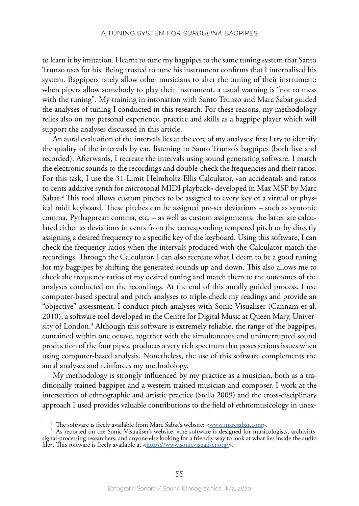to learn it by imitation. I learnt to tune my bagpipes to the same tuning system that Santo Trunzo uses for his. Being trusted to tune his instrument confirms that I internalised his system. Bagpipers rarely allow other musicians to alter the tuning of their instrument: when pipers allow somebody to play their instrument, a usual warning is "not to mess with the tuning". My training in intonation with Santo Trunzo and Marc Sabat guided the analyses of tuning I conducted in this research. For these reasons, my methodology relies also on my personal experience, practice and skills as a bagpipe player which will support the analyses discussed in this article.

An aural evaluation of the intervals lies at the core of my analyses: first I try to identify the quality of the intervals by ear, listening to Santo Trunzo's bagpipes (both live and recorded). Afterwards, I recreate the intervals using sound generating software. I match the electronic sounds to the recordings and double-check the frequencies and their ratios. For this task, I use the 31-Limit Helmholtz*-*Ellis Calculator, «an accidentals and ratios to cents additive synth for microtonal MIDI playback» developed in Max MSP by Marc Sabat.2 This tool allows custom pitches to be assigned to every key of a virtual or physical midi keyboard. These pitches can be assigned pre-set deviations – such as syntonic comma, Pythagorean comma, etc. – as well as custom assignments: the latter are calculated either as deviations in cents from the corresponding tempered pitch or by directly assigning a desired frequency to a specific key of the keyboard. Using this software, I can check the frequency ratios when the intervals produced with the Calculator match the recordings. Through the Calculator, I can also recreate what I deem to be a good tuning for my bagpipes by shifting the generated sounds up and down. This also allows me to check the frequency ratios of my desired tuning and match them to the outcomes of the analyses conducted on the recordings. At the end of this aurally guided process, I use computer-based spectral and pitch analyses to triple-check my readings and provide an "objective" assessment. I conduct pitch analyses with Sonic Visualiser (Cannam et al. 2010), a software tool developed in the Centre for Digital Music at Queen Mary, University of London.3 Although this software is extremely reliable, the range of the bagpipes, contained within one octave, together with the simultaneous and uninterrupted sound production of the four pipes, produces a very rich spectrum that poses serious issues when using computer-based analysis. Nonetheless, the use of this software complements the aural analyses and reinforces my methodology.

My methodology is strongly influenced by my practice as a musician, both as a traditionally trained bagpiper and a western trained musician and composer. I work at the intersection of ethnographic and artistic practice (Stella 2009) and the cross-disciplinary approach I used provides valuable contributions to the field of ethnomusicology in unex-

<sup>&</sup>lt;sup>2</sup> The software is freely available from Marc Sabat's website:  $\langle$ www.marcsabat.com>. 3 As reported on the Sonic Visualiser's website, «the software is designed for musicologists, archivists, signal-processing researchers, and anyone else looking for a friendly way to look at what lies inside the audio file». This software is freely available at <<u>https://www.sonicvisualiser.org</u>/>.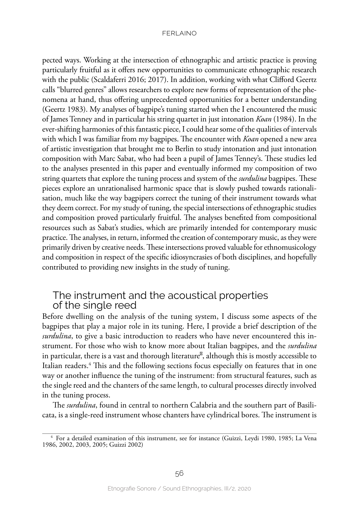pected ways. Working at the intersection of ethnographic and artistic practice is proving particularly fruitful as it offers new opportunities to communicate ethnographic research with the public (Scaldaferri 2016; 2017). In addition, working with what Clifford Geertz calls "blurred genres" allows researchers to explore new forms of representation of the phenomena at hand, thus offering unprecedented opportunities for a better understanding (Geertz 1983). My analyses of bagpipe's tuning started when the I encountered the music of James Tenney and in particular his string quartet in just intonation *Koan* (1984). In the ever-shifting harmonies of this fantastic piece, I could hear some of the qualities of intervals with which I was familiar from my bagpipes. The encounter with *Koan* opened a new area of artistic investigation that brought me to Berlin to study intonation and just intonation composition with Marc Sabat, who had been a pupil of James Tenney's. These studies led to the analyses presented in this paper and eventually informed my composition of two string quartets that explore the tuning process and system of the *surdulina* bagpipes. These pieces explore an unrationalised harmonic space that is slowly pushed towards rationalisation, much like the way bagpipers correct the tuning of their instrument towards what they deem correct. For my study of tuning, the special intersections of ethnographic studies and composition proved particularly fruitful. The analyses benefited from compositional resources such as Sabat's studies, which are primarily intended for contemporary music practice. The analyses, in return, informed the creation of contemporary music, as they were primarily driven by creative needs. These intersections proved valuable for ethnomusicology and composition in respect of the specific idiosyncrasies of both disciplines, and hopefully contributed to providing new insights in the study of tuning.

# The instrument and the acoustical properties of the single reed

Before dwelling on the analysis of the tuning system, I discuss some aspects of the bagpipes that play a major role in its tuning. Here, I provide a brief description of the *surdulina*, to give a basic introduction to readers who have never encountered this instrument. For those who wish to know more about Italian bagpipes, and the *surdulina* in particular, there is a vast and thorough literature , although this is mostly accessible to Italian readers.4 This and the following sections focus especially on features that in one way or another influence the tuning of the instrument: from structural features, such as the single reed and the chanters of the same length, to cultural processes directly involved in the tuning process.

The *surdulina*, found in central to northern Calabria and the southern part of Basilicata, is a single-reed instrument whose chanters have cylindrical bores. The instrument is

<sup>4</sup> For a detailed examination of this instrument, see for instance (Guizzi, Leydi 1980, 1985; La Vena 1986, 2002, 2003, 2005; Guizzi 2002)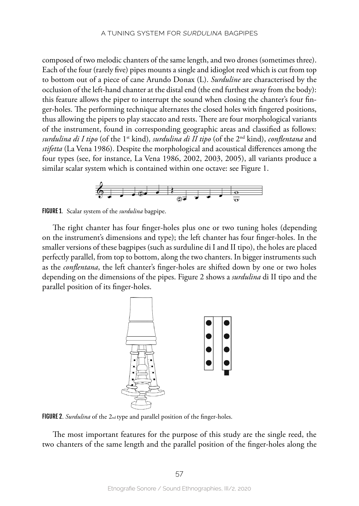composed of two melodic chanters of the same length, and two drones (sometimes three). Each of the four (rarely five) pipes mounts a single and idioglot reed which is cut from top to bottom out of a piece of cane Arundo Donax (L). *Surduline* are characterised by the occlusion of the left-hand chanter at the distal end (the end furthest away from the body): this feature allows the piper to interrupt the sound when closing the chanter's four finger-holes. The performing technique alternates the closed holes with fingered positions, thus allowing the pipers to play staccato and rests. There are four morphological variants of the instrument, found in corresponding geographic areas and classified as follows: *surdulina di I tipo* (of the 1st kind)*, surdulina di II tipo* (of the 2nd kind), *conflentana* and *stifetta* (La Vena 1986). Despite the morphological and acoustical differences among the four types (see, for instance, La Vena 1986, 2002, 2003, 2005), all variants produce a similar scalar system which is contained within one octave: see Figure 1.





The right chanter has four finger-holes plus one or two tuning holes (depending on the instrument's dimensions and type); the left chanter has four finger-holes. In the smaller versions of these bagpipes (such as surduline di I and II tipo), the holes are placed perfectly parallel, from top to bottom, along the two chanters. In bigger instruments such as the *conflentana*, the left chanter's finger-holes are shifted down by one or two holes depending on the dimensions of the pipes. Figure 2 shows a *surdulina* di II tipo and the parallel position of its finger-holes.



FIGURE 2. *Surdulina* of the 2nd type and parallel position of the finger-holes.

The most important features for the purpose of this study are the single reed, the two chanters of the same length and the parallel position of the finger-holes along the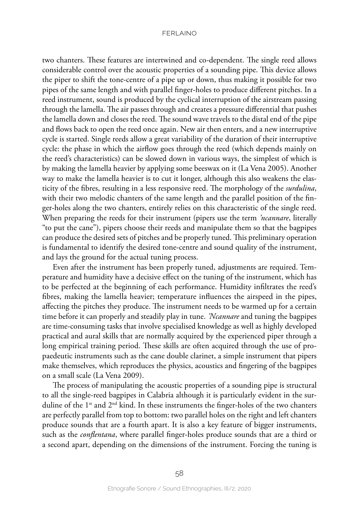two chanters. These features are intertwined and co-dependent. The single reed allows considerable control over the acoustic properties of a sounding pipe. This device allows the piper to shift the tone-centre of a pipe up or down, thus making it possible for two pipes of the same length and with parallel finger-holes to produce different pitches. In a reed instrument, sound is produced by the cyclical interruption of the airstream passing through the lamella. The air passes through and creates a pressure differential that pushes the lamella down and closes the reed. The sound wave travels to the distal end of the pipe and flows back to open the reed once again. New air then enters, and a new interruptive cycle is started. Single reeds allow a great variability of the duration of their interruptive cycle: the phase in which the airflow goes through the reed (which depends mainly on the reed's characteristics) can be slowed down in various ways, the simplest of which is by making the lamella heavier by applying some beeswax on it (La Vena 2005). Another way to make the lamella heavier is to cut it longer, although this also weakens the elasticity of the fibres, resulting in a less responsive reed. The morphology of the *surdulina*, with their two melodic chanters of the same length and the parallel position of the finger-holes along the two chanters, entirely relies on this characteristic of the single reed. When preparing the reeds for their instrument (pipers use the term *'ncannare*, literally "to put the cane"), pipers choose their reeds and manipulate them so that the bagpipes can produce the desired sets of pitches and be properly tuned. This preliminary operation is fundamental to identify the desired tone-centre and sound quality of the instrument, and lays the ground for the actual tuning process.

Even after the instrument has been properly tuned, adjustments are required. Temperature and humidity have a decisive effect on the tuning of the instrument, which has to be perfected at the beginning of each performance. Humidity infiltrates the reed's fibres, making the lamella heavier; temperature influences the airspeed in the pipes, affecting the pitches they produce. The instrument needs to be warmed up for a certain time before it can properly and steadily play in tune. *'Ncannare* and tuning the bagpipes are time-consuming tasks that involve specialised knowledge as well as highly developed practical and aural skills that are normally acquired by the experienced piper through a long empirical training period. These skills are often acquired through the use of propaedeutic instruments such as the cane double clarinet, a simple instrument that pipers make themselves, which reproduces the physics, acoustics and fingering of the bagpipes on a small scale (La Vena 2009).

The process of manipulating the acoustic properties of a sounding pipe is structural to all the single-reed bagpipes in Calabria although it is particularly evident in the surduline of the 1<sup>st</sup> and  $2<sup>nd</sup>$  kind. In these instruments the finger-holes of the two chanters are perfectly parallel from top to bottom: two parallel holes on the right and left chanters produce sounds that are a fourth apart. It is also a key feature of bigger instruments, such as the *conflentana*, where parallel finger-holes produce sounds that are a third or a second apart, depending on the dimensions of the instrument. Forcing the tuning is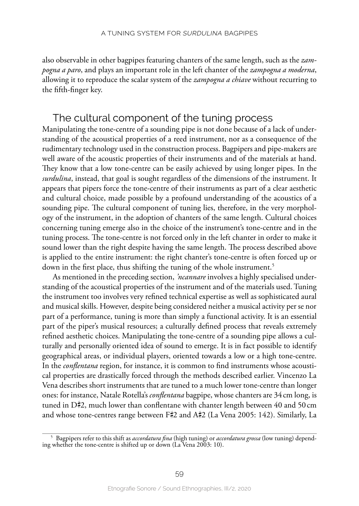also observable in other bagpipes featuring chanters of the same length, such as the *zampogna a paro*, and plays an important role in the left chanter of the *zampogna a moderna*, allowing it to reproduce the scalar system of the *zampogna a chiave* without recurring to the fifth-finger key.

# The cultural component of the tuning process

Manipulating the tone-centre of a sounding pipe is not done because of a lack of understanding of the acoustical properties of a reed instrument, nor as a consequence of the rudimentary technology used in the construction process. Bagpipers and pipe-makers are well aware of the acoustic properties of their instruments and of the materials at hand. They know that a low tone-centre can be easily achieved by using longer pipes. In the *surdulina*, instead, that goal is sought regardless of the dimensions of the instrument. It appears that pipers force the tone-centre of their instruments as part of a clear aesthetic and cultural choice, made possible by a profound understanding of the acoustics of a sounding pipe. The cultural component of tuning lies, therefore, in the very morphology of the instrument, in the adoption of chanters of the same length. Cultural choices concerning tuning emerge also in the choice of the instrument's tone-centre and in the tuning process. The tone-centre is not forced only in the left chanter in order to make it sound lower than the right despite having the same length. The process described above is applied to the entire instrument: the right chanter's tone-centre is often forced up or down in the first place, thus shifting the tuning of the whole instrument.<sup>5</sup>

As mentioned in the preceding section, *'ncannare* involves a highly specialised understanding of the acoustical properties of the instrument and of the materials used. Tuning the instrument too involves very refined technical expertise as well as sophisticated aural and musical skills. However, despite being considered neither a musical activity per se nor part of a performance, tuning is more than simply a functional activity. It is an essential part of the piper's musical resources; a culturally defined process that reveals extremely refined aesthetic choices. Manipulating the tone-centre of a sounding pipe allows a culturally and personally oriented idea of sound to emerge. It is in fact possible to identify geographical areas, or individual players, oriented towards a low or a high tone-centre. In the *conflentana* region, for instance, it is common to find instruments whose acoustical properties are drastically forced through the methods described earlier. Vincenzo La Vena describes short instruments that are tuned to a much lower tone-centre than longer ones: for instance, Natale Rotella's *conflentana* bagpipe, whose chanters are 34cm long, is tuned in  $D\sharp 2$ , much lower than conflentane with chanter length between 40 and 50 cm and whose tone-centres range between F#2 and A#2 (La Vena 2005: 142). Similarly, La

<sup>5</sup> Bagpipers refer to this shift as *accordatura fina* (high tuning) or *accordatura grossa* (low tuning) depending whether the tone-centre is shifted up or down (La Vena 2003: 10).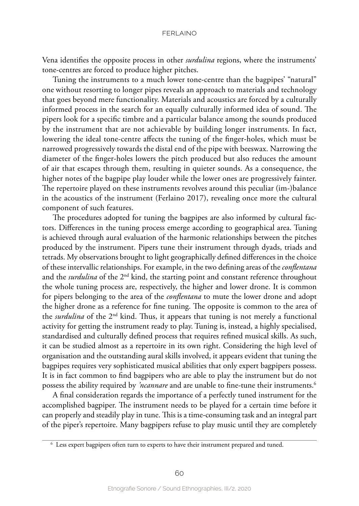Vena identifies the opposite process in other *surdulina* regions, where the instruments' tone-centres are forced to produce higher pitches.

Tuning the instruments to a much lower tone-centre than the bagpipes' "natural" one without resorting to longer pipes reveals an approach to materials and technology that goes beyond mere functionality. Materials and acoustics are forced by a culturally informed process in the search for an equally culturally informed idea of sound. The pipers look for a specific timbre and a particular balance among the sounds produced by the instrument that are not achievable by building longer instruments. In fact, lowering the ideal tone-centre affects the tuning of the finger-holes, which must be narrowed progressively towards the distal end of the pipe with beeswax. Narrowing the diameter of the finger-holes lowers the pitch produced but also reduces the amount of air that escapes through them, resulting in quieter sounds. As a consequence, the higher notes of the bagpipe play louder while the lower ones are progressively fainter. The repertoire played on these instruments revolves around this peculiar (im-)balance in the acoustics of the instrument (Ferlaino 2017), revealing once more the cultural component of such features.

The procedures adopted for tuning the bagpipes are also informed by cultural factors. Differences in the tuning process emerge according to geographical area. Tuning is achieved through aural evaluation of the harmonic relationships between the pitches produced by the instrument. Pipers tune their instrument through dyads, triads and tetrads. My observations brought to light geographically defined differences in the choice of these intervallic relationships. For example, in the two defining areas of the *conflentana* and the *surdulina* of the 2<sup>nd</sup> kind, the starting point and constant reference throughout the whole tuning process are, respectively, the higher and lower drone. It is common for pipers belonging to the area of the *conflentana* to mute the lower drone and adopt the higher drone as a reference for fine tuning. The opposite is common to the area of the *surdulina* of the 2<sup>nd</sup> kind. Thus, it appears that tuning is not merely a functional activity for getting the instrument ready to play. Tuning is, instead, a highly specialised, standardised and culturally defined process that requires refined musical skills. As such, it can be studied almost as a repertoire in its own right. Considering the high level of organisation and the outstanding aural skills involved, it appears evident that tuning the bagpipes requires very sophisticated musical abilities that only expert bagpipers possess. It is in fact common to find bagpipers who are able to play the instrument but do not possess the ability required by *'ncannare* and are unable to fine-tune their instruments.<sup>6</sup>

A final consideration regards the importance of a perfectly tuned instrument for the accomplished bagpiper. The instrument needs to be played for a certain time before it can properly and steadily play in tune. This is a time-consuming task and an integral part of the piper's repertoire. Many bagpipers refuse to play music until they are completely

<sup>6</sup> Less expert bagpipers often turn to experts to have their instrument prepared and tuned.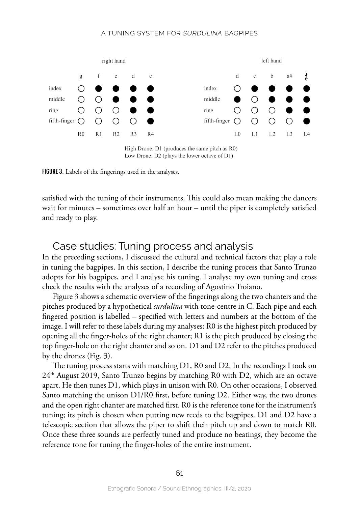# a tuning system for *surdulina* bagpipes



Low Drone: D2 (plays the lower octave of D1)

FIGURE 3. Labels of the fingerings used in the analyses.

satisfied with the tuning of their instruments. This could also mean making the dancers wait for minutes – sometimes over half an hour – until the piper is completely satisfied and ready to play.

# Case studies: Tuning process and analysis

In the preceding sections, I discussed the cultural and technical factors that play a role in tuning the bagpipes. In this section, I describe the tuning process that Santo Trunzo adopts for his bagpipes, and I analyse his tuning. I analyse my own tuning and cross check the results with the analyses of a recording of Agostino Troiano.

Figure 3 shows a schematic overview of the fingerings along the two chanters and the pitches produced by a hypothetical *surdulina* with tone-centre in C. Each pipe and each fingered position is labelled – specified with letters and numbers at the bottom of the image. I will refer to these labels during my analyses: R0 is the highest pitch produced by opening all the finger-holes of the right chanter; R1 is the pitch produced by closing the top finger-hole on the right chanter and so on. D1 and D2 refer to the pitches produced by the drones (Fig. 3).

The tuning process starts with matching D1, R0 and D2. In the recordings I took on  $24<sup>th</sup>$  August 2019, Santo Trunzo begins by matching R0 with D2, which are an octave apart. He then tunes D1, which plays in unison with R0. On other occasions, I observed Santo matching the unison D1/R0 first, before tuning D2. Either way, the two drones and the open right chanter are matched first. R0 is the reference tone for the instrument's tuning; its pitch is chosen when putting new reeds to the bagpipes. D1 and D2 have a telescopic section that allows the piper to shift their pitch up and down to match R0. Once these three sounds are perfectly tuned and produce no beatings, they become the reference tone for tuning the finger-holes of the entire instrument.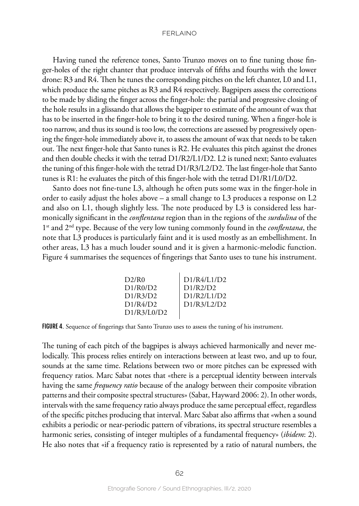Having tuned the reference tones, Santo Trunzo moves on to fine tuning those finger-holes of the right chanter that produce intervals of fifths and fourths with the lower drone: R3 and R4. Then he tunes the corresponding pitches on the left chanter, L0 and L1, which produce the same pitches as R<sub>3</sub> and R<sub>4</sub> respectively. Bagpipers assess the corrections to be made by sliding the finger across the finger-hole: the partial and progressive closing of the hole results in a glissando that allows the bagpiper to estimate of the amount of wax that has to be inserted in the finger-hole to bring it to the desired tuning. When a finger-hole is too narrow, and thus its sound is too low, the corrections are assessed by progressively opening the finger-hole immediately above it, to assess the amount of wax that needs to be taken out. The next finger-hole that Santo tunes is R2. He evaluates this pitch against the drones and then double checks it with the tetrad D1/R2/L1/D2. L2 is tuned next; Santo evaluates the tuning of this finger-hole with the tetrad D1/R3/L2/D2. The last finger-hole that Santo tunes is R1: he evaluates the pitch of this finger-hole with the tetrad D1/R1/L0/D2.

Santo does not fine-tune L3, although he often puts some wax in the finger-hole in order to easily adjust the holes above – a small change to L3 produces a response on L2 and also on L1, though slightly less. The note produced by L3 is considered less harmonically significant in the *conflentana* region than in the regions of the *surdulina* of the 1st and 2nd type. Because of the very low tuning commonly found in the *conflentana*, the note that L3 produces is particularly faint and it is used mostly as an embellishment. In other areas, L3 has a much louder sound and it is given a harmonic-melodic function. Figure 4 summarises the sequences of fingerings that Santo uses to tune his instrument.

| D2/R0       | D1/R4/L1/D2 |
|-------------|-------------|
| D1/R0/D2    | D1/R2/D2    |
| D1/R3/D2    | D1/R2/L1/D2 |
| D1/R4/D2    | D1/R3/L2/D2 |
| D1/R3/L0/D2 |             |

FIGURE 4. Sequence of fingerings that Santo Trunzo uses to assess the tuning of his instrument.

The tuning of each pitch of the bagpipes is always achieved harmonically and never melodically. This process relies entirely on interactions between at least two, and up to four, sounds at the same time. Relations between two or more pitches can be expressed with frequency ratios. Marc Sabat notes that «there is a perceptual identity between intervals having the same *frequency ratio* because of the analogy between their composite vibration patterns and their composite spectral structures» (Sabat, Hayward 2006: 2). In other words, intervals with the same frequency ratio always produce the same perceptual effect, regardless of the specific pitches producing that interval. Marc Sabat also affirms that «when a sound exhibits a periodic or near-periodic pattern of vibrations, its spectral structure resembles a harmonic series, consisting of integer multiples of a fundamental frequency» (*ibidem*: 2). He also notes that «if a frequency ratio is represented by a ratio of natural numbers, the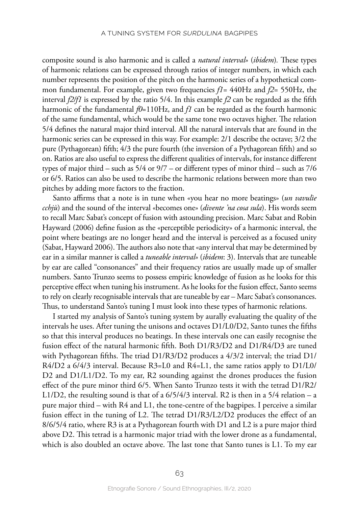composite sound is also harmonic and is called a *natural interval*» (*ibidem*)*.* These types of harmonic relations can be expressed through ratios of integer numbers, in which each number represents the position of the pitch on the harmonic series of a hypothetical common fundamental. For example, given two frequencies *f1*= 440Hz and *f2*= 550Hz, the interval *f2/f1* is expressed by the ratio 5/4. In this example *f2* can be regarded as the fifth harmonic of the fundamental  $f0=110\text{Hz}$ , and  $f1$  can be regarded as the fourth harmonic of the same fundamental, which would be the same tone two octaves higher. The relation 5/4 defines the natural major third interval. All the natural intervals that are found in the harmonic series can be expressed in this way. For example: 2/1 describe the octave; 3/2 the pure (Pythagorean) fifth; 4/3 the pure fourth (the inversion of a Pythagorean fifth) and so on. Ratios are also useful to express the different qualities of intervals, for instance different types of major third – such as 5/4 or 9/7 – or different types of minor third – such as 7/6 or 6/5. Ratios can also be used to describe the harmonic relations between more than two pitches by adding more factors to the fraction.

Santo affirms that a note is in tune when «you hear no more beatings» (*un vavulìe cchjù*) and the sound of the interval «becomes one» (*divente 'na cosa sula*). His words seem to recall Marc Sabat's concept of fusion with astounding precision. Marc Sabat and Robin Hayward (2006) define fusion as the «perceptible periodicity» of a harmonic interval, the point where beatings are no longer heard and the interval is perceived as a focused unity (Sabat, Hayward 2006). The authors also note that «any interval that may be determined by ear in a similar manner is called a *tuneable interval*» (*ibidem*: 3). Intervals that are tuneable by ear are called "consonances" and their frequency ratios are usually made up of smaller numbers. Santo Trunzo seems to possess empiric knowledge of fusion as he looks for this perceptive effect when tuning his instrument. As he looks for the fusion effect, Santo seems to rely on clearly recognisable intervals that are tuneable by ear – Marc Sabat's consonances. Thus, to understand Santo's tuning I must look into these types of harmonic relations.

I started my analysis of Santo's tuning system by aurally evaluating the quality of the intervals he uses. After tuning the unisons and octaves D1/L0/D2, Santo tunes the fifths so that this interval produces no beatings. In these intervals one can easily recognise the fusion effect of the natural harmonic fifth. Both D1/R3/D2 and D1/R4/D3 are tuned with Pythagorean fifths. The triad D1/R3/D2 produces a 4/3/2 interval; the triad D1/ R4/D2 a 6/4/3 interval. Because R3=L0 and R4=L1, the same ratios apply to D1/L0/ D2 and D1/L1/D2. To my ear, R2 sounding against the drones produces the fusion effect of the pure minor third 6/5. When Santo Trunzo tests it with the tetrad D1/R2/ L1/D2, the resulting sound is that of a 6/5/4/3 interval. R2 is then in a 5/4 relation – a pure major third – with R4 and L1, the tone-centre of the bagpipes. I perceive a similar fusion effect in the tuning of L2. The tetrad D1/R3/L2/D2 produces the effect of an 8/6/5/4 ratio, where R3 is at a Pythagorean fourth with D1 and L2 is a pure major third above D2. This tetrad is a harmonic major triad with the lower drone as a fundamental, which is also doubled an octave above. The last tone that Santo tunes is L1. To my ear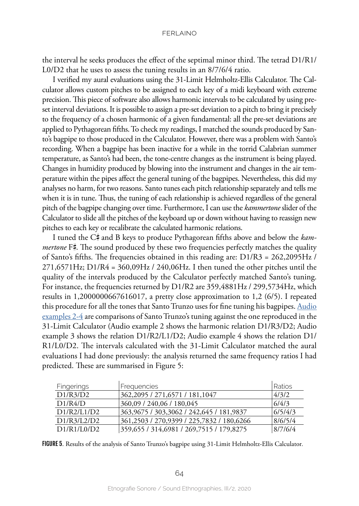the interval he seeks produces the effect of the septimal minor third. The tetrad D1/R1/ L0/D2 that he uses to assess the tuning results in an 8/7/6/4 ratio.

I verified my aural evaluations using the 31-Limit Helmholtz-Ellis Calculator. The Calculator allows custom pitches to be assigned to each key of a midi keyboard with extreme precision. This piece of software also allows harmonic intervals to be calculated by using preset interval deviations. It is possible to assign a pre-set deviation to a pitch to bring it precisely to the frequency of a chosen harmonic of a given fundamental: all the pre-set deviations are applied to Pythagorean fifths. To check my readings, I matched the sounds produced by Santo's bagpipe to those produced in the Calculator. However, there was a problem with Santo's recording. When a bagpipe has been inactive for a while in the torrid Calabrian summer temperature, as Santo's had been, the tone-centre changes as the instrument is being played. Changes in humidity produced by blowing into the instrument and changes in the air temperature within the pipes affect the general tuning of the bagpipes. Nevertheless, this did my analyses no harm, for two reasons. Santo tunes each pitch relationship separately and tells me when it is in tune. Thus, the tuning of each relationship is achieved regardless of the general pitch of the bagpipe changing over time. Furthermore, I can use the *kammertone* slider of the Calculator to slide all the pitches of the keyboard up or down without having to reassign new pitches to each key or recalibrate the calculated harmonic relations.

I tuned the C# and B keys to produce Pythagorean fifths above and below the *kammertone* F#. The sound produced by these two frequencies perfectly matches the quality of Santo's fifths. The frequencies obtained in this reading are: D1/R3 = 262,2095Hz / 271,6571Hz; D1/R4 = 360,09Hz / 240,06Hz. I then tuned the other pitches until the quality of the intervals produced by the Calculator perfectly matched Santo's tuning. For instance, the frequencies returned by D1/R2 are 359,4881Hz / 299,5734Hz, which results in 1,2000000667616017, a pretty close approximation to 1,2 (6/5). I repeated this procedure for all the tones that Santo Trunzo uses for fine tuning his bagpipes. [Audio](https://player.vimeo.com/video/668658899?h=3f1099815e) [examples 2-4](https://player.vimeo.com/video/668658899?h=3f1099815e) are comparisons of Santo Trunzo's tuning against the one reproduced in the 31-Limit Calculator (Audio example 2 shows the harmonic relation D1/R3/D2; Audio example 3 shows the relation D1/R2/L1/D2; Audio example 4 shows the relation D1/ R1/L0/D2. The intervals calculated with the 31-Limit Calculator matched the aural evaluations I had done previously: the analysis returned the same frequency ratios I had predicted. These are summarised in Figure 5:

| <b>Fingerings</b> | <b>Frequencies</b>                           | Ratios  |
|-------------------|----------------------------------------------|---------|
| D1/R3/D2          | 362, 2095 / 271, 6571 / 181, 1047            | 4/3/2   |
| D1/R4/D           | 360,09 / 240,06 / 180,045                    | 6/4/3   |
| D1/R2/L1/D2       | 363,9675 / 303,3062 / 242,645 / 181,9837     | 6/5/4/3 |
| D1/R3/L2/D2       | 361,2503 / 270,9399 / 225,7832 / 180,6266    | 8/6/5/4 |
| $D1/R1/I_0/D2$    | 359, 655 / 314, 6981 / 269, 7515 / 179, 8275 | 8/7/6/4 |

FIGURE 5. Results of the analysis of Santo Trunzo's bagpipe using 31-Limit Helmholtz-Ellis Calculator*.*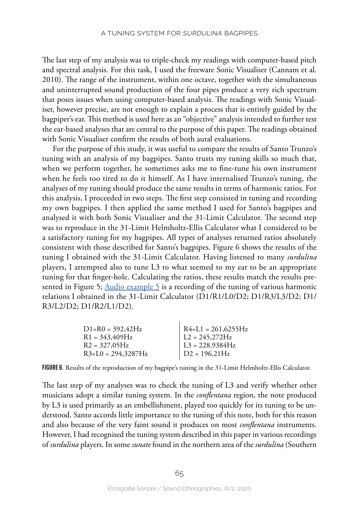The last step of my analysis was to triple-check my readings with computer-based pitch and spectral analysis. For this task, I used the freeware Sonic Visualiser (Cannam et al. 2010). The range of the instrument, within one octave, together with the simultaneous and uninterrupted sound production of the four pipes produce a very rich spectrum that poses issues when using computer-based analysis. The readings with Sonic Visualiser, however precise, are not enough to explain a process that is entirely guided by the bagpiper's ear. This method is used here as an "objective" analysis intended to further test the ear-based analyses that are central to the purpose of this paper. The readings obtained with Sonic Visualiser confirm the results of both aural evaluations.

For the purpose of this study, it was useful to compare the results of Santo Trunzo's tuning with an analysis of my bagpipes. Santo trusts my tuning skills so much that, when we perform together, he sometimes asks me to fine-tune his own instrument when he feels too tired to do it himself. As I have internalised Trunzo's tuning, the analyses of my tuning should produce the same results in terms of harmonic ratios. For this analysis, I proceeded in two steps. The first step consisted in tuning and recording my own bagpipes. I then applied the same method I used for Santo's bagpipes and analysed it with both Sonic Visualiser and the 31-Limit Calculator. The second step was to reproduce in the 31-Limit Helmholtz-Ellis Calculator what I considered to be a satisfactory tuning for my bagpipes. All types of analyses returned ratios absolutely consistent with those described for Santo's bagpipes. Figure 6 shows the results of the tuning I obtained with the 31-Limit Calculator. Having listened to many *surdulina* players, I attempted also to tune L3 to what seemed to my ear to be an appropriate tuning for that finger-hole. Calculating the ratios, these results match the results presented in Figure 5; Audio example  $5$  is a recording of the tuning of various harmonic relations I obtained in the 31-Limit Calculator (D1/R1/L0/D2; D1/R3/L3/D2; D1/ R3/L2/D2; D1/R2/L1/D2).

| $R4=L1 = 261,6255Hz$<br>$L2 = 245,272Hz$<br>$L3 = 228,9384Hz$ |
|---------------------------------------------------------------|
|                                                               |
|                                                               |
| $D2 = 196,21 Hz$                                              |
|                                                               |

|  |  |  | <b>FIGURE 6.</b> Results of the reproduction of my bagpipe's tuning in the 31-Limit Helmholtz-Ellis Calculator. |  |  |  |  |  |  |  |  |
|--|--|--|-----------------------------------------------------------------------------------------------------------------|--|--|--|--|--|--|--|--|
|--|--|--|-----------------------------------------------------------------------------------------------------------------|--|--|--|--|--|--|--|--|

 $\overline{1}$ 

The last step of my analyses was to check the tuning of L3 and verify whether other musicians adopt a similar tuning system. In the *conflentana* region, the note produced by L3 is used primarily as an embellishment, played too quickly for its tuning to be understood. Santo accords little importance to the tuning of this note, both for this reason and also because of the very faint sound it produces on most *conflentana* instruments. However, I had recognised the tuning system described in this paper in various recordings of *surdulina* players. In some *sunate* found in the northern area of the *surdulina* (Southern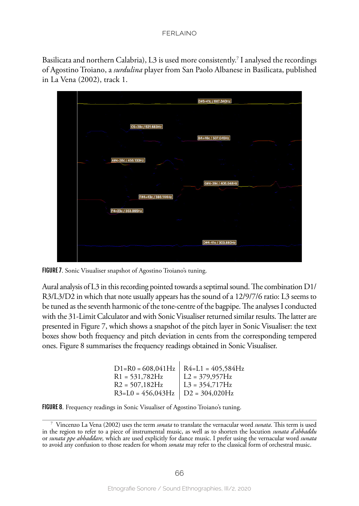Basilicata and northern Calabria), L3 is used more consistently.7 I analysed the recordings of Agostino Troiano, a *surdulina* player from San Paolo Albanese in Basilicata, published in La Vena (2002), track 1.



FIGURE 7. Sonic Visualiser snapshot of Agostino Troiano's tuning.

Aural analysis of L3 in this recording pointed towards a septimal sound. The combination D1/ R3/L3/D2 in which that note usually appears has the sound of a 12/9/7/6 ratio: L3 seems to be tuned as the seventh harmonic of the tone-centre of the bagpipe. The analyses I conducted with the 31-Limit Calculator and with Sonic Visualiser returned similar results. The latter are presented in Figure 7, which shows a snapshot of the pitch layer in Sonic Visualiser: the text boxes show both frequency and pitch deviation in cents from the corresponding tempered ones. Figure 8 summarises the frequency readings obtained in Sonic Visualiser.

| $D1=R0 = 608,041 Hz$   R4=L1 = 405,584Hz                                                                                                                                                                    |  |
|-------------------------------------------------------------------------------------------------------------------------------------------------------------------------------------------------------------|--|
|                                                                                                                                                                                                             |  |
|                                                                                                                                                                                                             |  |
| $\begin{tabular}{ l l l } \hline \text{R1 = 531,782Hz} & $L2 = 379,957Hz$ \\ \hline \text{R2 = 507,182Hz} & $L3 = 354,717Hz$ \\ \hline \text{R3=L0 = 456,043Hz} & $D2 = 304,020Hz$ \\ \hline \end{tabular}$ |  |

FIGURE 8. Frequency readings in Sonic Visualiser of Agostino Troiano's tuning.

<sup>7</sup> Vincenzo La Vena (2002) uses the term *sonata* to translate the vernacular word *sunata*. This term is used in the region to refer to a piece of instrumental music, as well as to shorten the locution *sunata d'abbađđu*  or *sunata ppe abbađđare,* which are used explicitly for dance music. I prefer using the vernacular word *sunata* to avoid any confusion to those readers for whom *sonata* may refer to the classical form of orchestral music.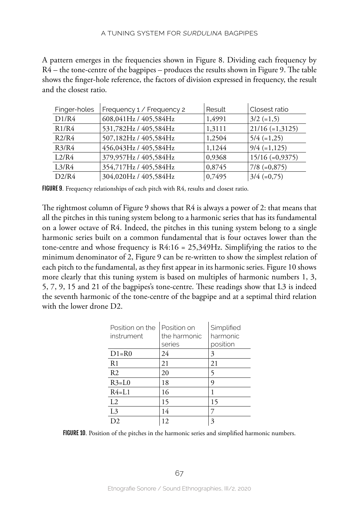A pattern emerges in the frequencies shown in Figure 8. Dividing each frequency by R4 – the tone-centre of the bagpipes – produces the results shown in Figure 9. The table shows the finger-hole reference, the factors of division expressed in frequency, the result and the closest ratio.

| Finger-holes | Frequency 1 / Frequency 2 | Result | Closest ratio     |
|--------------|---------------------------|--------|-------------------|
| D1/R4        | 608,041Hz / 405,584Hz     | 1,4991 | $3/2 (=1,5)$      |
| R1/R4        | 531,782Hz / 405,584Hz     | 1,3111 | $21/16 (=1,3125)$ |
| R2/R4        | 507,182Hz / 405,584Hz     | 1,2504 | $5/4 (=1,25)$     |
| R3/R4        | 456,043Hz / 405,584Hz     | 1,1244 | $9/4 (=1,125)$    |
| L2/R4        | 379,957Hz / 405,584Hz     | 0,9368 | $15/16 (=0,9375)$ |
| L3/R4        | 354,717Hz / 405,584Hz     | 0,8745 | $7/8 (=0,875)$    |
| D2/R4        | 304,020Hz / 405,584Hz     | 0,7495 | $3/4 (=0,75)$     |

FIGURE 9. Frequency relationships of each pitch with R4, results and closest ratio.

The rightmost column of Figure 9 shows that R4 is always a power of 2: that means that all the pitches in this tuning system belong to a harmonic series that has its fundamental on a lower octave of R4. Indeed, the pitches in this tuning system belong to a single harmonic series built on a common fundamental that is four octaves lower than the tone-centre and whose frequency is  $R4:16 = 25,349$ Hz. Simplifying the ratios to the minimum denominator of 2, Figure 9 can be re-written to show the simplest relation of each pitch to the fundamental, as they first appear in its harmonic series. Figure 10 shows more clearly that this tuning system is based on multiples of harmonic numbers 1, 3, 5, 7, 9, 15 and 21 of the bagpipes's tone-centre. These readings show that L3 is indeed the seventh harmonic of the tone-centre of the bagpipe and at a septimal third relation with the lower drone D2.

| Position on the<br>instrument | Position on<br>the harmonic<br>series | Simplified<br>harmonic<br>position |
|-------------------------------|---------------------------------------|------------------------------------|
| $D1 = R0$                     | 24                                    | 3                                  |
| R1                            | 21                                    | 21                                 |
| R <sub>2</sub>                | 20                                    | 5                                  |
| $R3 = L0$                     | 18                                    | 9                                  |
| $R4 = L1$                     | 16                                    |                                    |
| L <sub>2</sub>                | 15                                    | 15                                 |
| L <sub>3</sub>                | 14                                    |                                    |
| D <sub>2</sub>                | 12                                    | 3                                  |

FIGURE 10. Position of the pitches in the harmonic series and simplified harmonic numbers.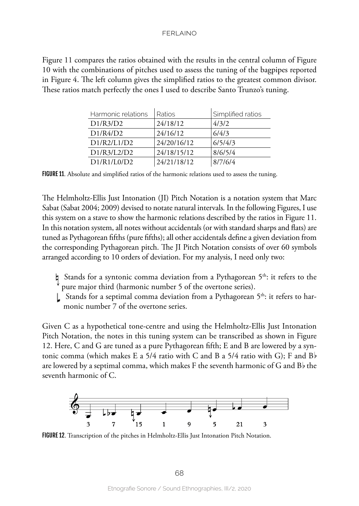Figure 11 compares the ratios obtained with the results in the central column of Figure 10 with the combinations of pitches used to assess the tuning of the bagpipes reported in Figure 4. The left column gives the simplified ratios to the greatest common divisor. These ratios match perfectly the ones I used to describe Santo Trunzo's tuning.

| Harmonic relations | Ratios      | Simplified ratios |
|--------------------|-------------|-------------------|
| D1/R3/D2           | 24/18/12    | 4/3/2             |
| D1/R4/D2           | 24/16/12    | 6/4/3             |
| D1/R2/L1/D2        | 24/20/16/12 | 6/5/4/3           |
| D1/R3/L2/D2        | 24/18/15/12 | 8/6/5/4           |
| D1/R1/I.0/D2       | 24/21/18/12 | 8/7/6/4           |

FIGURE 11. Absolute and simplified ratios of the harmonic relations used to assess the tuning.

The Helmholtz-Ellis Just Intonation (JI) Pitch Notation is a notation system that Marc Sabat (Sabat 2004; 2009) devised to notate natural intervals*.* In the following Figures, I use this system on a stave to show the harmonic relations described by the ratios in Figure 11. In this notation system, all notes without accidentals (or with standard sharps and flats) are tuned as Pythagorean fifths (pure fifths); all other accidentals define a given deviation from the corresponding Pythagorean pitch. The JI Pitch Notation consists of over 60 symbols arranged according to 10 orders of deviation. For my analysis, I need only two:

- Stands for a syntonic comma deviation from a Pythagorean  $5<sup>th</sup>$ : it refers to the pure major third (harmonic number 5 of the overtone series).
- Stands for a septimal comma deviation from a Pythagorean  $5<sup>th</sup>$ : it refers to harmonic number 7 of the overtone series.

Given C as a hypothetical tone-centre and using the Helmholtz-Ellis Just Intonation Pitch Notation, the notes in this tuning system can be transcribed as shown in Figure 12. Here, C and G are tuned as a pure Pythagorean fifth; E and B are lowered by a syntonic comma (which makes E a 5/4 ratio with C and B a 5/4 ratio with G); F and B $\flat$ are lowered by a septimal comma, which makes F the seventh harmonic of G and Bb the seventh harmonic of C.



FIGURE 12. Transcription of the pitches in Helmholtz-Ellis Just Intonation Pitch Notation.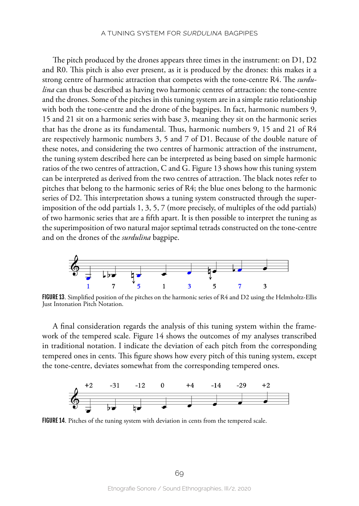The pitch produced by the drones appears three times in the instrument: on D1, D2 and R0. This pitch is also ever present, as it is produced by the drones: this makes it a strong centre of harmonic attraction that competes with the tone-centre R4. The *surdulina* can thus be described as having two harmonic centres of attraction: the tone-centre and the drones. Some of the pitches in this tuning system are in a simple ratio relationship with both the tone-centre and the drone of the bagpipes. In fact, harmonic numbers 9, 15 and 21 sit on a harmonic series with base 3, meaning they sit on the harmonic series that has the drone as its fundamental. Thus, harmonic numbers 9, 15 and 21 of R4 are respectively harmonic numbers 3, 5 and 7 of D1. Because of the double nature of these notes, and considering the two centres of harmonic attraction of the instrument, the tuning system described here can be interpreted as being based on simple harmonic ratios of the two centres of attraction, C and G. Figure 13 shows how this tuning system can be interpreted as derived from the two centres of attraction. The black notes refer to pitches that belong to the harmonic series of R4; the blue ones belong to the harmonic series of D2. This interpretation shows a tuning system constructed through the superimposition of the odd partials 1, 3, 5, 7 (more precisely, of multiples of the odd partials) of two harmonic series that are a fifth apart. It is then possible to interpret the tuning as the superimposition of two natural major septimal tetrads constructed on the tone-centre and on the drones of the *surdulina* bagpipe.



FIGURE 13. Simplified position of the pitches on the harmonic series of R4 and D2 using the Helmholtz-Ellis Just Intonation Pitch Notation.

A final consideration regards the analysis of this tuning system within the framework of the tempered scale. Figure 14 shows the outcomes of my analyses transcribed in traditional notation. I indicate the deviation of each pitch from the corresponding tempered ones in cents. This figure shows how every pitch of this tuning system, except the tone-centre, deviates somewhat from the corresponding tempered ones.



FIGURE 14. Pitches of the tuning system with deviation in cents from the tempered scale.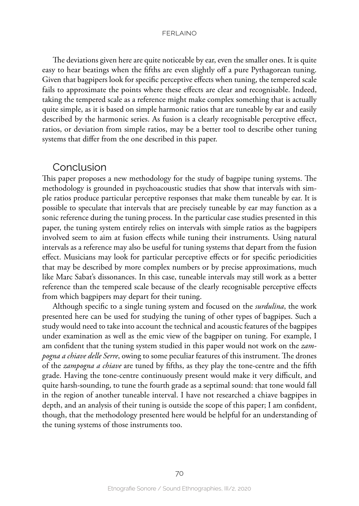The deviations given here are quite noticeable by ear, even the smaller ones. It is quite easy to hear beatings when the fifths are even slightly off a pure Pythagorean tuning. Given that bagpipers look for specific perceptive effects when tuning, the tempered scale fails to approximate the points where these effects are clear and recognisable. Indeed, taking the tempered scale as a reference might make complex something that is actually quite simple, as it is based on simple harmonic ratios that are tuneable by ear and easily described by the harmonic series. As fusion is a clearly recognisable perceptive effect, ratios, or deviation from simple ratios, may be a better tool to describe other tuning systems that differ from the one described in this paper.

# Conclusion

This paper proposes a new methodology for the study of bagpipe tuning systems. The methodology is grounded in psychoacoustic studies that show that intervals with simple ratios produce particular perceptive responses that make them tuneable by ear. It is possible to speculate that intervals that are precisely tuneable by ear may function as a sonic reference during the tuning process. In the particular case studies presented in this paper, the tuning system entirely relies on intervals with simple ratios as the bagpipers involved seem to aim at fusion effects while tuning their instruments. Using natural intervals as a reference may also be useful for tuning systems that depart from the fusion effect. Musicians may look for particular perceptive effects or for specific periodicities that may be described by more complex numbers or by precise approximations, much like Marc Sabat's dissonances. In this case, tuneable intervals may still work as a better reference than the tempered scale because of the clearly recognisable perceptive effects from which bagpipers may depart for their tuning.

Although specific to a single tuning system and focused on the *surdulina*, the work presented here can be used for studying the tuning of other types of bagpipes. Such a study would need to take into account the technical and acoustic features of the bagpipes under examination as well as the emic view of the bagpiper on tuning. For example, I am confident that the tuning system studied in this paper would not work on the *zampogna a chiave delle Serre*, owing to some peculiar features of this instrument. The drones of the *zampogna a chiave* are tuned by fifths, as they play the tone-centre and the fifth grade. Having the tone-centre continuously present would make it very difficult, and quite harsh-sounding, to tune the fourth grade as a septimal sound: that tone would fall in the region of another tuneable interval. I have not researched a chiave bagpipes in depth, and an analysis of their tuning is outside the scope of this paper; I am confident, though, that the methodology presented here would be helpful for an understanding of the tuning systems of those instruments too.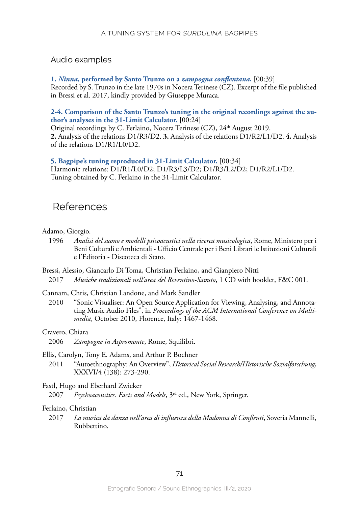# Audio examples

**1.** *Ninna***[, performed by Santo Trunzo on a](https://player.vimeo.com/video/668654368?h=9d3a337f22)** *zampogna conflentana***.** [00:39] Recorded by S. Trunzo in the late 1970s in Nocera Terinese (CZ). Excerpt of the file published in Bressi et al. 2017, kindly provided by Giuseppe Muraca.

**[2-4. Comparison of the Santo Trunzo's tuning in the original recordings against the au](https://player.vimeo.com/video/668658899?h=3f1099815e)[thor's analyses in the 31-Limit Calculator.](https://player.vimeo.com/video/668658899?h=3f1099815e)** [00:24]

Original recordings by C. Ferlaino, Nocera Terinese (CZ), 24<sup>th</sup> August 2019. **2.** Analysis of the relations D1/R3/D2. **3.** Analysis of the relations D1/R2/L1/D2. **4.** Analysis of the relations D1/R1/L0/D2.

**[5. Bagpipe's tuning reproduced in 31-Limit Calculator.](https://player.vimeo.com/video/668660687?h=08ab1c23fd)** [00:34] Harmonic relations: D1/R1/L0/D2; D1/R3/L3/D2; D1/R3/L2/D2; D1/R2/L1/D2. Tuning obtained by C. Ferlaino in the 31-Limit Calculator.

# References

# Adamo, Giorgio.

- 1996 *Analisi del suono e modelli psicoacustici nella ricerca musicologica*, Rome, Ministero per i Beni Culturali e Ambientali - Ufficio Centrale per i Beni Librari le Istituzioni Culturali e l'Editoria - Discoteca di Stato.
- Bressi, Alessio, Giancarlo Di Toma, Christian Ferlaino, and Gianpiero Nitti 2017 *Musiche tradizionali nell'area del Reventino-Savuto*, 1 CD with booklet, F&C 001.
- Cannam, Chris, Christian Landone, and Mark Sandler
	- 2010 "Sonic Visualiser: An Open Source Application for Viewing, Analysing, and Annotating Music Audio Files", in *Proceedings of the ACM International Conference on Multimedia*, October 2010, Florence, Italy: 1467-1468.

Cravero, Chiara

- Ellis, Carolyn, Tony E. Adams, and Arthur P. Bochner
	- 2011 "Autoethnography: An Overview", *Historical Social Research/Historische Sozialforschung*, XXXVI/4 (138): 273-290.

# Fastl, Hugo and Eberhard Zwicker

2007 *Psychoacoustics. Facts and Models*, 3<sup>rd</sup> ed., New York, Springer.

# Ferlaino, Christian

2017 *La musica da danza nell'area di influenza della Madonna di Conflenti*, Soveria Mannelli, Rubbettino.

<sup>2006</sup> *Zampogne in Aspromonte*, Rome, Squilibri.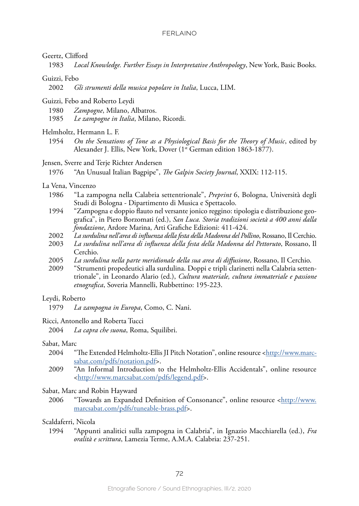# Geertz, Clifford

1983 *Local Knowledge. Further Essays in Interpretative Anthropology*, New York, Basic Books.

# Guizzi, Febo

2002 *Gli strumenti della musica popolare in Italia*, Lucca, LIM.

### Guizzi, Febo and Roberto Leydi

- 1980 *Zampogne*, Milano, Albatros.
- 1985 *Le zampogne in Italia*, Milano, Ricordi.

# Helmholtz, Hermann L. F.

1954 *On the Sensations of Tone as a Physiological Basis for the Theory of Music*, edited by Alexander J. Ellis, New York, Dover (1st German edition 1863-1877).

# Jensen, Sverre and Terje Richter Andersen

1976 "An Unusual Italian Bagpipe", *The Galpin Society Journal*, XXIX: 112-115.

# La Vena, Vincenzo

- 1986 "La zampogna nella Calabria settentrionale", *Preprint* 6, Bologna, Università degli Studi di Bologna - Dipartimento di Musica e Spettacolo.
- 1994 "Zampogna e doppio flauto nel versante jonico reggino: tipologia e distribuzione geografica", in Piero Borzomati (ed.), *San Luca. Storia tradizioni società a 400 anni dalla fondazione*, Ardore Marina, Arti Grafiche Edizioni: 411-424.
- 2002 *La surdulina nell'area di influenza della festa della Madonna del Pollino*, Rossano, Il Cerchio.
- La surdulina nell'area di influenza della festa della Madonna del Pettoruto, Rossano, Il Cerchio.
- 2005 *La surdulina nella parte meridionale della sua area di diffusione*, Rossano, Il Cerchio.
- "Strumenti propedeutici alla surdulina. Doppi e tripli clarinetti nella Calabria settentrionale", in Leonardo Alario (ed.), *Cultura materiale, cultura immateriale e passione etnografica*, Soveria Mannelli, Rubbettino: 195-223.

### Leydi, Roberto

1979 *La zampogna in Europa*, Como, C. Nani.

# Ricci, Antonello and Roberta Tucci

2004 *La capra che suona*, Roma, Squilibri.

### Sabat, Marc

- 2004 "The Extended Helmholtz-Ellis JI Pitch Notation", online resource <[http://www.marc](http://www.marcsabat.com/pdfs/notation.pdf)[sabat.com/pdfs/notation.pdf](http://www.marcsabat.com/pdfs/notation.pdf)>.
- 2009 "An Informal Introduction to the Helmholtz-Ellis Accidentals", online resource [<http://www.marcsabat.com/pdfs/legend.pdf>](http://www.marcsabat.com/pdfs/legend.pdf).

## Sabat, Marc and Robin Hayward

2006 "Towards an Expanded Definition of Consonance", online resource [<http://www.](http://www.marcsabat.com/pdfs/tuneable-brass.pdf) [marcsabat.com/pdfs/tuneable-brass.pdf](http://www.marcsabat.com/pdfs/tuneable-brass.pdf)>.

# Scaldaferri, Nicola

1994 "Appunti analitici sulla zampogna in Calabria", in Ignazio Macchiarella (ed.), *Fra oralità e scrittura*, Lamezia Terme, A.M.A. Calabria: 237-251.